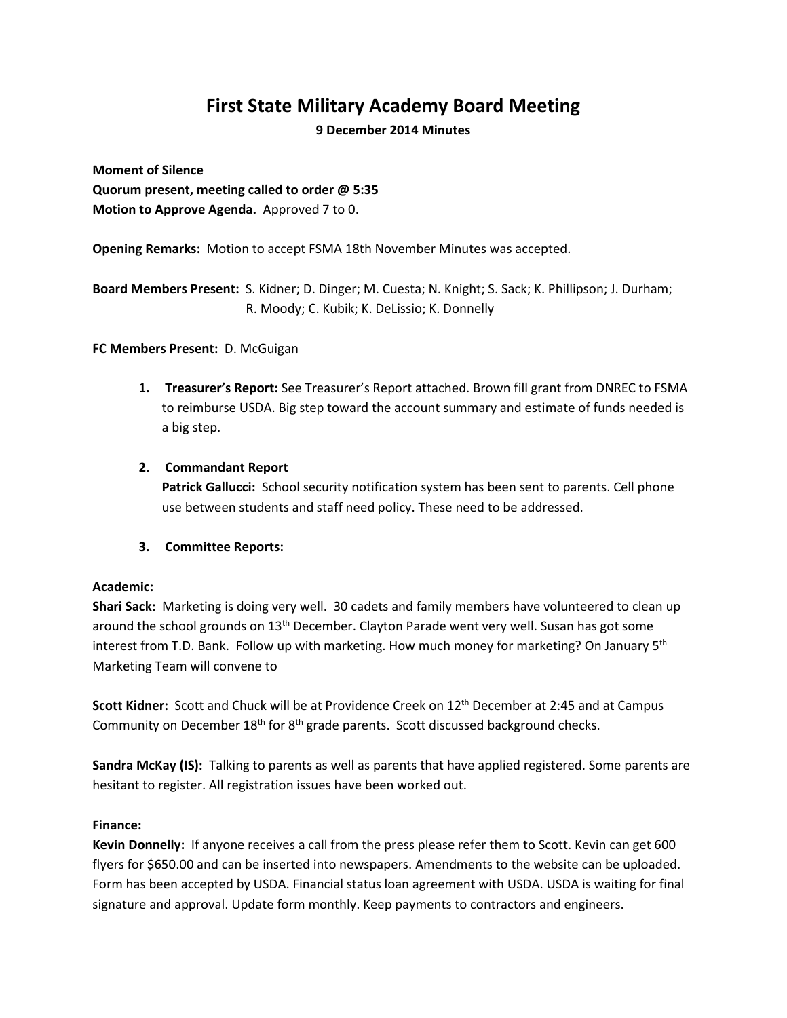# **First State Military Academy Board Meeting**

**9 December 2014 Minutes**

**Moment of Silence Quorum present, meeting called to order @ 5:35 Motion to Approve Agenda.** Approved 7 to 0.

**Opening Remarks:** Motion to accept FSMA 18th November Minutes was accepted.

**Board Members Present:** S. Kidner; D. Dinger; M. Cuesta; N. Knight; S. Sack; K. Phillipson; J. Durham; R. Moody; C. Kubik; K. DeLissio; K. Donnelly

## **FC Members Present:** D. McGuigan

- **1. Treasurer's Report:** See Treasurer's Report attached. Brown fill grant from DNREC to FSMA to reimburse USDA. Big step toward the account summary and estimate of funds needed is a big step.
- **2. Commandant Report**

**Patrick Gallucci:** School security notification system has been sent to parents. Cell phone use between students and staff need policy. These need to be addressed.

# **3. Committee Reports:**

#### **Academic:**

**Shari Sack:** Marketing is doing very well. 30 cadets and family members have volunteered to clean up around the school grounds on 13<sup>th</sup> December. Clayton Parade went very well. Susan has got some interest from T.D. Bank. Follow up with marketing. How much money for marketing? On January 5<sup>th</sup> Marketing Team will convene to

**Scott Kidner:** Scott and Chuck will be at Providence Creek on 12th December at 2:45 and at Campus Community on December  $18<sup>th</sup>$  for  $8<sup>th</sup>$  grade parents. Scott discussed background checks.

**Sandra McKay (IS):** Talking to parents as well as parents that have applied registered. Some parents are hesitant to register. All registration issues have been worked out.

#### **Finance:**

**Kevin Donnelly:** If anyone receives a call from the press please refer them to Scott. Kevin can get 600 flyers for \$650.00 and can be inserted into newspapers. Amendments to the website can be uploaded. Form has been accepted by USDA. Financial status loan agreement with USDA. USDA is waiting for final signature and approval. Update form monthly. Keep payments to contractors and engineers.